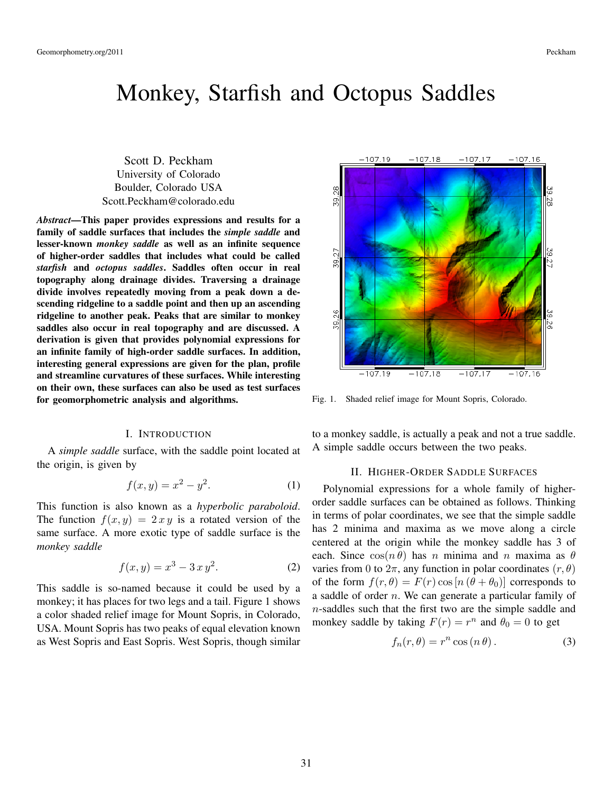# Monkey, Starfish and Octopus Saddles

Scott D. Peckham University of Colorado Boulder, Colorado USA Scott.Peckham@colorado.edu

*Abstract*—This paper provides expressions and results for a family of saddle surfaces that includes the *simple saddle* and lesser-known *monkey saddle* as well as an infinite sequence of higher-order saddles that includes what could be called *starfish* and *octopus saddles*. Saddles often occur in real topography along drainage divides. Traversing a drainage divide involves repeatedly moving from a peak down a descending ridgeline to a saddle point and then up an ascending ridgeline to another peak. Peaks that are similar to monkey saddles also occur in real topography and are discussed. A derivation is given that provides polynomial expressions for an infinite family of high-order saddle surfaces. In addition, interesting general expressions are given for the plan, profile and streamline curvatures of these surfaces. While interesting on their own, these surfaces can also be used as test surfaces for geomorphometric analysis and algorithms.

# I. INTRODUCTION

A *simple saddle* surface, with the saddle point located at the origin, is given by

$$
f(x,y) = x^2 - y^2.
$$
 (1)

This function is also known as a *hyperbolic paraboloid*. The function  $f(x, y) = 2xy$  is a rotated version of the same surface. A more exotic type of saddle surface is the *monkey saddle*

$$
f(x, y) = x^3 - 3x y^2.
$$
 (2)

This saddle is so-named because it could be used by a monkey; it has places for two legs and a tail. Figure 1 shows a color shaded relief image for Mount Sopris, in Colorado, USA. Mount Sopris has two peaks of equal elevation known as West Sopris and East Sopris. West Sopris, though similar



Fig. 1. Shaded relief image for Mount Sopris, Colorado.

to a monkey saddle, is actually a peak and not a true saddle. A simple saddle occurs between the two peaks.

## II. HIGHER-ORDER SADDLE SURFACES

Polynomial expressions for a whole family of higherorder saddle surfaces can be obtained as follows. Thinking in terms of polar coordinates, we see that the simple saddle has 2 minima and maxima as we move along a circle centered at the origin while the monkey saddle has 3 of each. Since  $cos(n \theta)$  has n minima and n maxima as  $\theta$ varies from 0 to  $2\pi$ , any function in polar coordinates  $(r, \theta)$ of the form  $f(r, \theta) = F(r) \cos [n (\theta + \theta_0)]$  corresponds to a saddle of order n. We can generate a particular family of n-saddles such that the first two are the simple saddle and monkey saddle by taking  $F(r) = r^n$  and  $\theta_0 = 0$  to get

$$
f_n(r,\theta) = r^n \cos(n\theta). \tag{3}
$$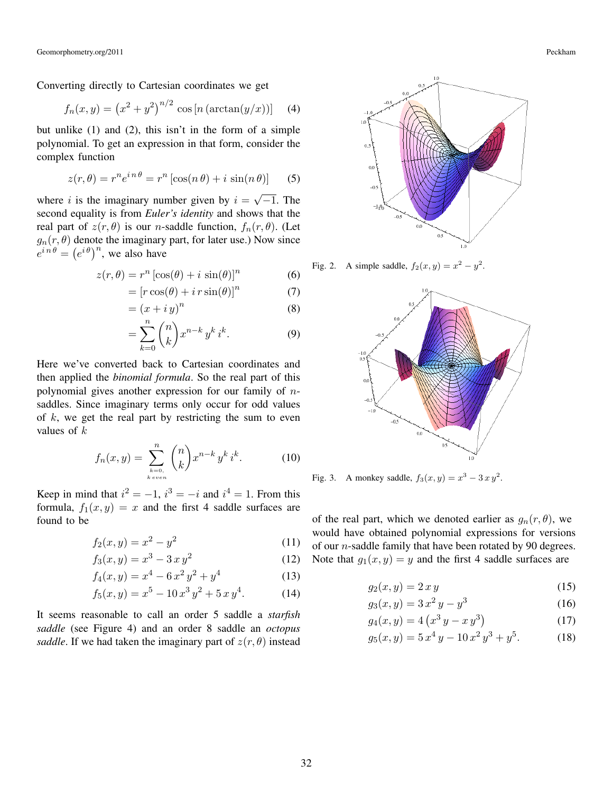Converting directly to Cartesian coordinates we get

$$
f_n(x, y) = (x^2 + y^2)^{n/2} \cos[n(\arctan(y/x))]
$$
 (4)

but unlike (1) and (2), this isn't in the form of a simple polynomial. To get an expression in that form, consider the complex function

$$
z(r,\theta) = r^n e^{in\theta} = r^n \left[ \cos(n\theta) + i \sin(n\theta) \right]
$$
 (5)

where i is the imaginary number given by  $i =$ √  $-1$ . The second equality is from *Euler's identity* and shows that the real part of  $z(r, \theta)$  is our *n*-saddle function,  $f_n(r, \theta)$ . (Let  $g_n(r, \theta)$  denote the imaginary part, for later use.) Now since  $e^{in\theta} = (e^{i\theta})^n$ , we also have

$$
z(r,\theta) = r^n \left[\cos(\theta) + i \sin(\theta)\right]^n \tag{6}
$$

$$
= [r\cos(\theta) + i\,r\sin(\theta)]^n \tag{7}
$$

$$
= (x + i y)^n \tag{8}
$$

$$
= \sum_{k=0}^{n} \binom{n}{k} x^{n-k} y^k i^k.
$$
 (9)

Here we've converted back to Cartesian coordinates and then applied the *binomial formula*. So the real part of this polynomial gives another expression for our family of nsaddles. Since imaginary terms only occur for odd values of  $k$ , we get the real part by restricting the sum to even values of  $k$ 

$$
f_n(x,y) = \sum_{\substack{k=0,\\k\text{ even}}}^n {n \choose k} x^{n-k} y^k i^k.
$$
 (10)

Keep in mind that  $i^2 = -1$ ,  $i^3 = -i$  and  $i^4 = 1$ . From this formula,  $f_1(x, y) = x$  and the first 4 saddle surfaces are found to be

$$
f_2(x,y) = x^2 - y^2 \tag{11}
$$

$$
f_3(x, y) = x^3 - 3x y^2 \tag{12}
$$

$$
f_4(x, y) = x^4 - 6x^2y^2 + y^4
$$
 (13)

$$
f_4(x, y) = x^2 - 6x^2 + y^3
$$
 (13)

$$
f_5(x,y) = x^5 - 10x^3y^2 + 5xy^4.
$$
 (14)

It seems reasonable to call an order 5 saddle a *starfish saddle* (see Figure 4) and an order 8 saddle an *octopus saddle*. If we had taken the imaginary part of  $z(r, \theta)$  instead



Fig. 2. A simple saddle,  $f_2(x, y) = x^2 - y^2$ .



Fig. 3. A monkey saddle,  $f_3(x, y) = x^3 - 3xy^2$ .

of the real part, which we denoted earlier as  $g_n(r, \theta)$ , we would have obtained polynomial expressions for versions of our  $n$ -saddle family that have been rotated by 90 degrees. Note that  $g_1(x, y) = y$  and the first 4 saddle surfaces are

$$
g_2(x, y) = 2xy \tag{15}
$$

$$
g_3(x, y) = 3x^2y - y^3\tag{16}
$$

$$
g_4(x, y) = 4\left(x^3y - x\,y^3\right) \tag{17}
$$

$$
g_5(x, y) = 5x^4y - 10x^2y^3 + y^5.
$$
 (18)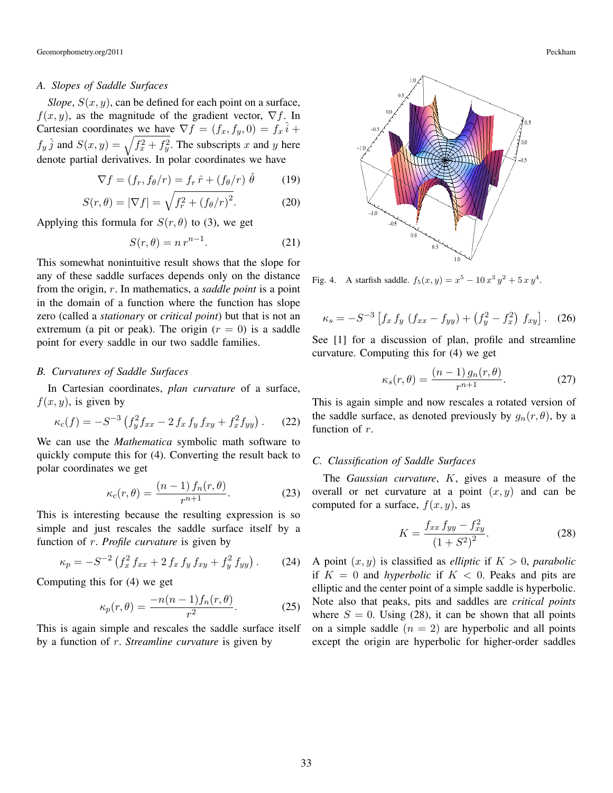#### *A. Slopes of Saddle Surfaces*

*Slope*,  $S(x, y)$ , can be defined for each point on a surface,  $f(x, y)$ , as the magnitude of the gradient vector,  $\nabla f$ . In Cartesian coordinates we have  $\nabla f = (f_x, f_y, 0) = f_x \hat{i} +$  $f_y \hat{j}$  and  $S(x, y) = \sqrt{f_x^2 + f_y^2}$ . The subscripts x and y here denote partial derivatives. In polar coordinates we have

$$
\nabla f = (f_r, f_\theta/r) = f_r \hat{r} + (f_\theta/r) \hat{\theta} \tag{19}
$$

$$
S(r,\theta) = |\nabla f| = \sqrt{f_r^2 + (f_\theta/r)^2}.
$$
 (20)

Applying this formula for  $S(r, \theta)$  to (3), we get

$$
S(r,\theta) = n r^{n-1}.
$$
 (21)

This somewhat nonintuitive result shows that the slope for any of these saddle surfaces depends only on the distance from the origin, r. In mathematics, a *saddle point* is a point in the domain of a function where the function has slope zero (called a *stationary* or *critical point*) but that is not an extremum (a pit or peak). The origin  $(r = 0)$  is a saddle point for every saddle in our two saddle families.

#### *B. Curvatures of Saddle Surfaces*

In Cartesian coordinates, *plan curvature* of a surface,  $f(x, y)$ , is given by

$$
\kappa_c(f) = -S^{-3} \left( f_y^2 f_{xx} - 2 f_x f_y f_{xy} + f_x^2 f_{yy} \right). \tag{22}
$$

We can use the *Mathematica* symbolic math software to quickly compute this for (4). Converting the result back to polar coordinates we get

$$
\kappa_c(r,\theta) = \frac{(n-1)\,f_n(r,\theta)}{r^{n+1}}.\tag{23}
$$

This is interesting because the resulting expression is so simple and just rescales the saddle surface itself by a function of r. *Profile curvature* is given by

$$
\kappa_p = -S^{-2} \left( f_x^2 f_{xx} + 2 f_x f_y f_{xy} + f_y^2 f_{yy} \right). \tag{24}
$$

Computing this for (4) we get

$$
\kappa_p(r,\theta) = \frac{-n(n-1)f_n(r,\theta)}{r^2}.
$$
 (25)

This is again simple and rescales the saddle surface itself by a function of r. *Streamline curvature* is given by



Fig. 4. A starfish saddle.  $f_5(x, y) = x^5 - 10x^3y^2 + 5xy^4$ .

$$
\kappa_s = -S^{-3} \left[ f_x f_y (f_{xx} - f_{yy}) + (f_y^2 - f_x^2) f_{xy} \right].
$$
 (26)

See [1] for a discussion of plan, profile and streamline curvature. Computing this for (4) we get

$$
\kappa_s(r,\theta) = \frac{(n-1) g_n(r,\theta)}{r^{n+1}}.
$$
\n(27)

This is again simple and now rescales a rotated version of the saddle surface, as denoted previously by  $g_n(r, \theta)$ , by a function of r.

# *C. Classification of Saddle Surfaces*

The *Gaussian curvature*, K, gives a measure of the overall or net curvature at a point  $(x, y)$  and can be computed for a surface,  $f(x, y)$ , as

$$
K = \frac{f_{xx} f_{yy} - f_{xy}^2}{\left(1 + S^2\right)^2}.
$$
 (28)

A point  $(x, y)$  is classified as *elliptic* if  $K > 0$ , *parabolic* if  $K = 0$  and *hyperbolic* if  $K < 0$ . Peaks and pits are elliptic and the center point of a simple saddle is hyperbolic. Note also that peaks, pits and saddles are *critical points* where  $S = 0$ . Using (28), it can be shown that all points on a simple saddle  $(n = 2)$  are hyperbolic and all points except the origin are hyperbolic for higher-order saddles